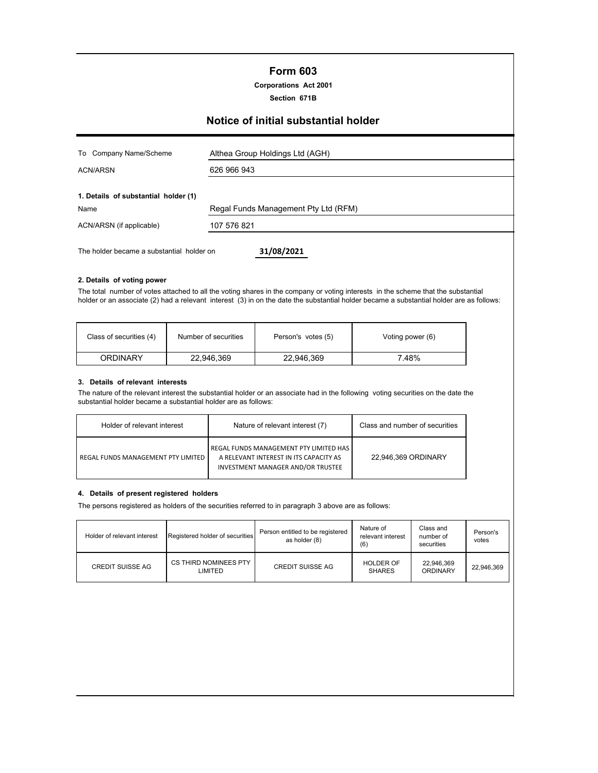# **Form 603**

**Corporations Act 2001**

**Section 671B**

# **Notice of initial substantial holder**

| To Company Name/Scheme                       | Althea Group Holdings Ltd (AGH)      |
|----------------------------------------------|--------------------------------------|
| <b>ACN/ARSN</b>                              | 626 966 943                          |
| 1. Details of substantial holder (1)<br>Name | Regal Funds Management Pty Ltd (RFM) |
| ACN/ARSN (if applicable)                     | 107 576 821                          |
| The holder became a substantial holder on    | 31/08/2021                           |

#### **2. Details of voting power**

The total number of votes attached to all the voting shares in the company or voting interests in the scheme that the substantial holder or an associate (2) had a relevant interest (3) in on the date the substantial holder became a substantial holder are as follows:

| Class of securities (4) | Number of securities | Person's votes (5) | Voting power (6) |
|-------------------------|----------------------|--------------------|------------------|
| ORDINARY                | 22,946,369           | 22,946,369         | `48%             |

#### **3. Details of relevant interests**

The nature of the relevant interest the substantial holder or an associate had in the following voting securities on the date the substantial holder became a substantial holder are as follows:

| Holder of relevant interest        | Nature of relevant interest (7)                                                                                       | Class and number of securities |
|------------------------------------|-----------------------------------------------------------------------------------------------------------------------|--------------------------------|
| REGAL FUNDS MANAGEMENT PTY LIMITED | REGAL FUNDS MANAGEMENT PTY LIMITED HAS<br>A RELEVANT INTEREST IN ITS CAPACITY AS<br>INVESTMENT MANAGER AND/OR TRUSTEE | 22.946.369 ORDINARY            |

#### **4. Details of present registered holders**

The persons registered as holders of the securities referred to in paragraph 3 above are as follows:

| Holder of relevant interest | Registered holder of securities  | Person entitled to be registered<br>as holder (8) | Nature of<br>relevant interest<br>(6) | Class and<br>number of<br>securities | Person's<br>votes |
|-----------------------------|----------------------------------|---------------------------------------------------|---------------------------------------|--------------------------------------|-------------------|
| <b>CREDIT SUISSE AG</b>     | CS THIRD NOMINEES PTY<br>LIMITED | <b>CREDIT SUISSE AG</b>                           | <b>HOLDER OF</b><br><b>SHARES</b>     | 22,946,369<br>ORDINARY               | 22,946,369        |